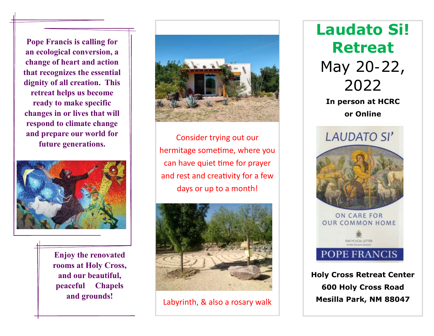**Pope Francis is calling for an ecological conversion, a change of heart and action that recognizes the essential dignity of all creation. This retreat helps us become ready to make specific changes in or lives that will respond to climate change and prepare our world for future generations.**



j

**Enjoy the renovated rooms at Holy Cross, and our beautiful, peaceful Chapels and grounds!**



Consider trying out our hermitage sometime, where you can have quiet time for prayer and rest and creativity for a few days or up to a month!



Labyrinth, & also a rosary walk

**Laudato Si! Retreat** May 20-22, 2022 **In person at HCRC or Online LAUDATO SI'** ON CARE FOR **OUR COMMON HOME** *ENCYCLICAL LETTER* POPE FRANCIS

**Holy Cross Retreat Center 600 Holy Cross Road Mesilla Park, NM 88047**